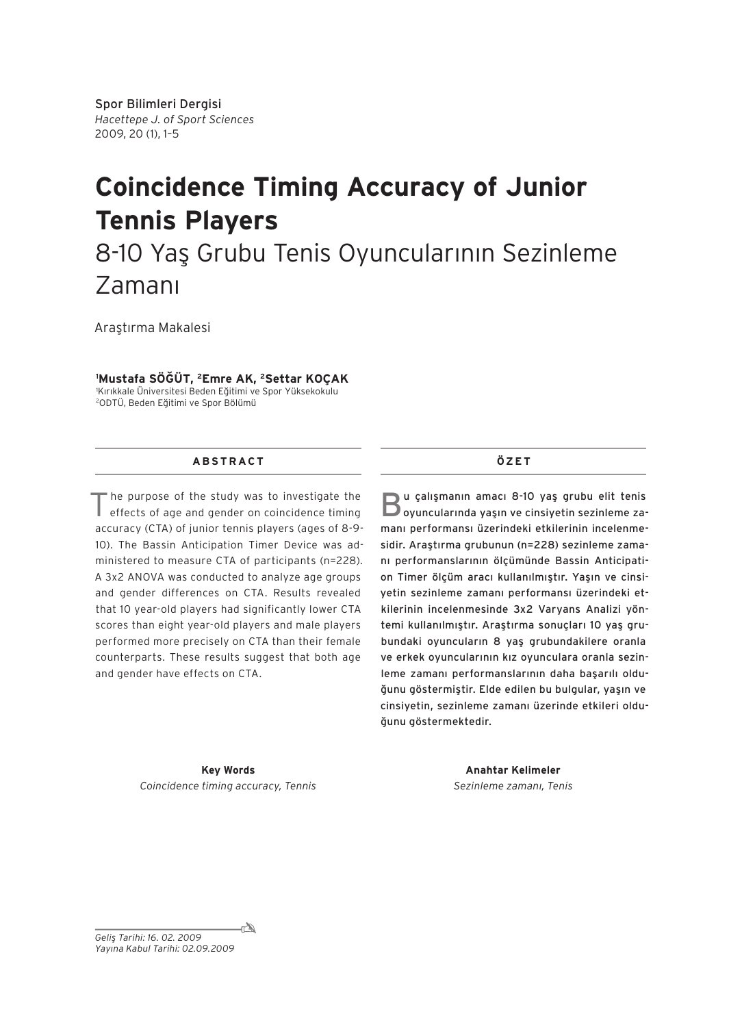# **Coincidence Timing Accuracy of Junior Tennis Players**

## 8-10 Yaş Grubu Tenis Oyuncularının Sezinleme Zamanı

Araştırma Makalesi

#### **1 Mustafa SÖĞÜT, 2Emre AK, 2Settar KOÇAK**

1 Kırıkkale Üniversitesi Beden Eğitimi ve Spor Yüksekokulu 2ODTÜ, Beden Eğitimi ve Spor Bölümü

## **A B S T R AC T**

"he purpose of the study was to investigate the effects of age and gender on coincidence timing accuracy (CTA) of junior tennis players (ages of 8-9- 10). The Bassin Anticipation Timer Device was administered to measure CTA of participants (n=228). A 3x2 ANOVA was conducted to analyze age groups and gender differences on CTA. Results revealed that 10 year-old players had significantly lower CTA scores than eight year-old players and male players performed more precisely on CTA than their female counterparts. These results suggest that both age and gender have effects on CTA.

### **ÖZ E T**

Bu çalışmanın amacı 8-10 yaş grubu elit tenis oyuncularında yaşın ve cinsiyetin sezinleme zamanı performansı üzerindeki etkilerinin incelenmesidir. Araştırma grubunun (n=228) sezinleme zamanı performanslarının ölçümünde Bassin Anticipation Timer ölçüm aracı kullanılmıştır. Yaşın ve cinsiyetin sezinleme zamanı performansı üzerindeki etkilerinin incelenmesinde 3x2 Varyans Analizi yöntemi kullanılmıştır. Araştırma sonuçları 10 yaş grubundaki oyuncuların 8 yaş grubundakilere oranla ve erkek oyuncularının kız oyunculara oranla sezinleme zamanı performanslarının daha başarılı olduğunu göstermiştir. Elde edilen bu bulgular, yaşın ve cinsiyetin, sezinleme zamanı üzerinde etkileri olduğunu göstermektedir.

**Key Words** *Coincidence timing accuracy, Tennis*

**Anahtar Kelimeler** *Sezinleme zamanı, Tenis*

 $\mathbb{Z}_-$ *Geliş Tarihi: 16. 02. 2009 Yayına Kabul Tarihi: 02.09.2009*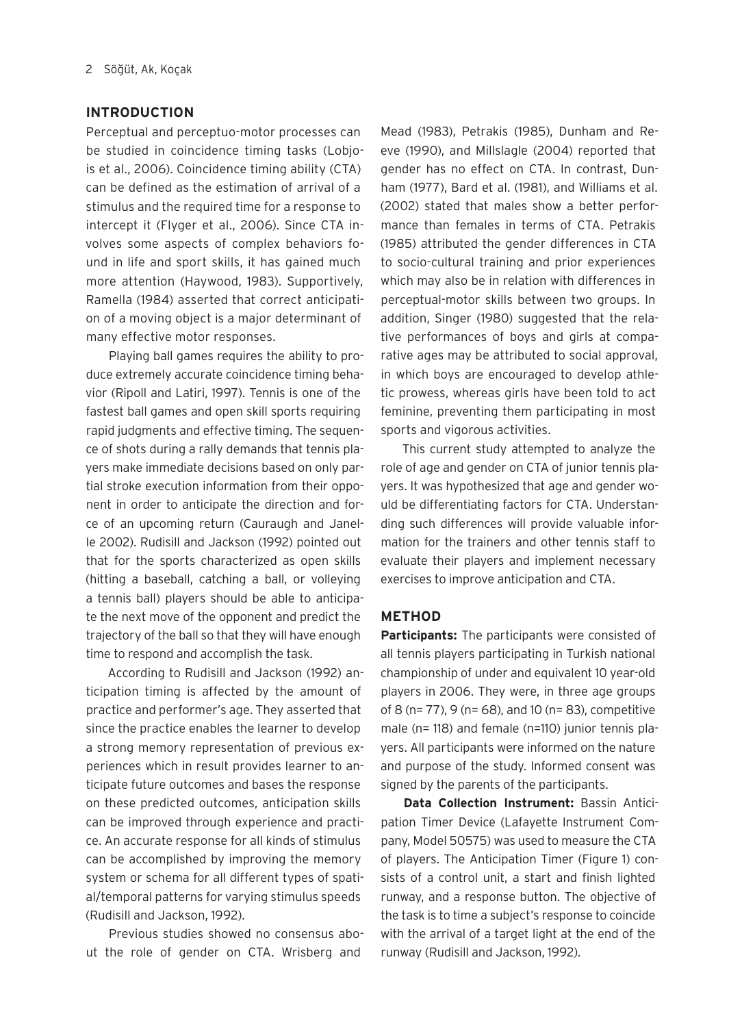## **INTRODUCTION**

Perceptual and perceptuo-motor processes can be studied in coincidence timing tasks (Lobjois et al., 2006). Coincidence timing ability (CTA) can be defined as the estimation of arrival of a stimulus and the required time for a response to intercept it (Flyger et al., 2006). Since CTA involves some aspects of complex behaviors found in life and sport skills, it has gained much more attention (Haywood, 1983). Supportively, Ramella (1984) asserted that correct anticipation of a moving object is a major determinant of many effective motor responses.

Playing ball games requires the ability to produce extremely accurate coincidence timing behavior (Ripoll and Latiri, 1997). Tennis is one of the fastest ball games and open skill sports requiring rapid judgments and effective timing. The sequence of shots during a rally demands that tennis players make immediate decisions based on only partial stroke execution information from their opponent in order to anticipate the direction and force of an upcoming return (Cauraugh and Janelle 2002). Rudisill and Jackson (1992) pointed out that for the sports characterized as open skills (hitting a baseball, catching a ball, or volleying a tennis ball) players should be able to anticipate the next move of the opponent and predict the trajectory of the ball so that they will have enough time to respond and accomplish the task.

According to Rudisill and Jackson (1992) anticipation timing is affected by the amount of practice and performer's age. They asserted that since the practice enables the learner to develop a strong memory representation of previous experiences which in result provides learner to anticipate future outcomes and bases the response on these predicted outcomes, anticipation skills can be improved through experience and practice. An accurate response for all kinds of stimulus can be accomplished by improving the memory system or schema for all different types of spatial/temporal patterns for varying stimulus speeds (Rudisill and Jackson, 1992).

Previous studies showed no consensus about the role of gender on CTA. Wrisberg and

Mead (1983), Petrakis (1985), Dunham and Reeve (1990), and Millslagle (2004) reported that gender has no effect on CTA. In contrast, Dunham (1977), Bard et al. (1981), and Williams et al. (2002) stated that males show a better performance than females in terms of CTA. Petrakis (1985) attributed the gender differences in CTA to socio-cultural training and prior experiences which may also be in relation with differences in perceptual-motor skills between two groups. In addition, Singer (1980) suggested that the relative performances of boys and girls at comparative ages may be attributed to social approval, in which boys are encouraged to develop athletic prowess, whereas girls have been told to act feminine, preventing them participating in most sports and vigorous activities.

This current study attempted to analyze the role of age and gender on CTA of junior tennis players. It was hypothesized that age and gender would be differentiating factors for CTA. Understanding such differences will provide valuable information for the trainers and other tennis staff to evaluate their players and implement necessary exercises to improve anticipation and CTA.

## **METHOD**

**Participants:** The participants were consisted of all tennis players participating in Turkish national championship of under and equivalent 10 year-old players in 2006. They were, in three age groups of 8 (n= 77), 9 (n= 68), and 10 (n= 83), competitive male (n= 118) and female (n=110) junior tennis players. All participants were informed on the nature and purpose of the study. Informed consent was signed by the parents of the participants.

**Data Collection Instrument:** Bassin Anticipation Timer Device (Lafayette Instrument Company, Model 50575) was used to measure the CTA of players. The Anticipation Timer (Figure 1) consists of a control unit, a start and finish lighted runway, and a response button. The objective of the task is to time a subject's response to coincide with the arrival of a target light at the end of the runway (Rudisill and Jackson, 1992).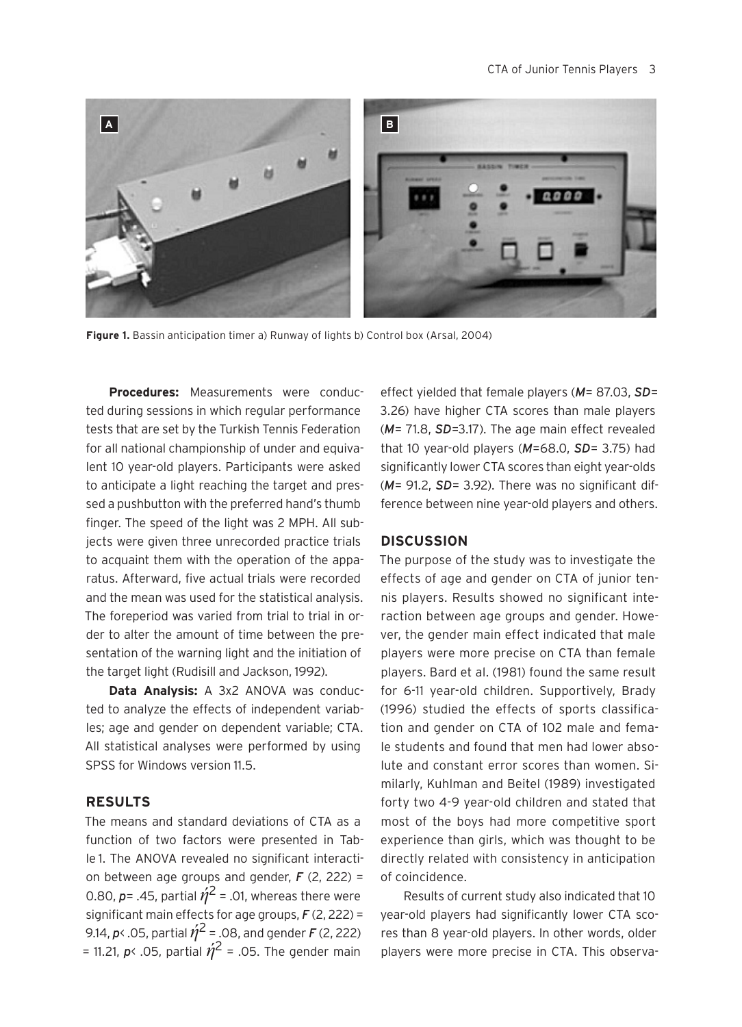

**Figure 1.** Bassin anticipation timer a) Runway of lights b) Control box (Arsal, 2004)

**Procedures:** Measurements were conducted during sessions in which regular performance tests that are set by the Turkish Tennis Federation for all national championship of under and equivalent 10 year-old players. Participants were asked to anticipate a light reaching the target and pressed a pushbutton with the preferred hand's thumb finger. The speed of the light was 2 MPH. All subjects were given three unrecorded practice trials to acquaint them with the operation of the apparatus. Afterward, five actual trials were recorded and the mean was used for the statistical analysis. The foreperiod was varied from trial to trial in order to alter the amount of time between the presentation of the warning light and the initiation of the target light (Rudisill and Jackson, 1992).

**Data Analysis:** A 3x2 ANOVA was conducted to analyze the effects of independent variables; age and gender on dependent variable; CTA. All statistical analyses were performed by using SPSS for Windows version 11.5

## **RESULTS**

The means and standard deviations of CTA as a function of two factors were presented in Table 1. The ANOVA revealed no significant interaction between age groups and gender, *F* (2, 222) = 0.80,  $p = 0.45$ , partial  $\hat{\eta}^2 = 0.01$ , whereas there were significant main effects for age groups, *F* (2, 222) = 9.14,  $p$ < .05, partial  $\acute{\eta}^2$  = .08, and gender *F* (2, 222) = 11.21,  $p$ < .05, partial  $\acute{\eta}^2$  = .05. The gender main

effect yielded that female players (*M*= 87.03, *SD*= 3.26) have higher CTA scores than male players (*M*= 71.8, *SD*=3.17). The age main effect revealed that 10 year-old players (*M*=68.0, *SD*= 3.75) had significantly lower CTA scores than eight year-olds (*M*= 91.2, *SD*= 3.92). There was no significant difference between nine year-old players and others.

## **DISCUSSION**

The purpose of the study was to investigate the effects of age and gender on CTA of junior tennis players. Results showed no significant interaction between age groups and gender. However, the gender main effect indicated that male players were more precise on CTA than female players. Bard et al. (1981) found the same result for 6-11 year-old children. Supportively, Brady (1996) studied the effects of sports classification and gender on CTA of 102 male and female students and found that men had lower absolute and constant error scores than women. Similarly, Kuhlman and Beitel (1989) investigated forty two 4-9 year-old children and stated that most of the boys had more competitive sport experience than girls, which was thought to be directly related with consistency in anticipation of coincidence.

Results of current study also indicated that 10 year-old players had significantly lower CTA scores than 8 year-old players. In other words, older players were more precise in CTA. This observa-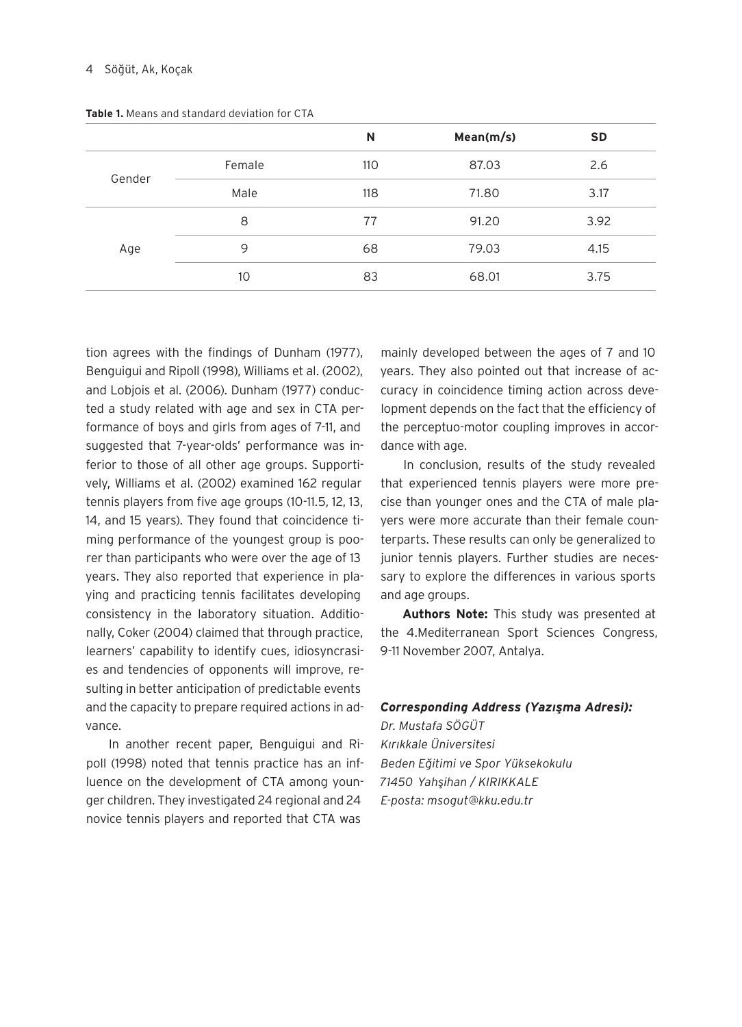|        |        | N   | Mean(m/s) | <b>SD</b> |
|--------|--------|-----|-----------|-----------|
| Gender | Female | 110 | 87.03     | 2.6       |
|        | Male   | 118 | 71.80     | 3.17      |
| Age    | 8      | 77  | 91.20     | 3.92      |
|        | 9      | 68  | 79.03     | 4.15      |
|        | 10     | 83  | 68.01     | 3.75      |

**Table 1.** Means and standard deviation for CTA

tion agrees with the findings of Dunham (1977), Benguigui and Ripoll (1998), Williams et al. (2002), and Lobjois et al. (2006). Dunham (1977) conducted a study related with age and sex in CTA performance of boys and girls from ages of 7-11, and suggested that 7-year-olds' performance was inferior to those of all other age groups. Supportively, Williams et al. (2002) examined 162 regular tennis players from five age groups (10-11.5, 12, 13, 14, and 15 years). They found that coincidence timing performance of the youngest group is poorer than participants who were over the age of 13 years. They also reported that experience in playing and practicing tennis facilitates developing consistency in the laboratory situation. Additionally, Coker (2004) claimed that through practice, learners' capability to identify cues, idiosyncrasies and tendencies of opponents will improve, resulting in better anticipation of predictable events and the capacity to prepare required actions in advance.

In another recent paper, Benguigui and Ripoll (1998) noted that tennis practice has an influence on the development of CTA among younger children. They investigated 24 regional and 24 novice tennis players and reported that CTA was

mainly developed between the ages of 7 and 10 years. They also pointed out that increase of accuracy in coincidence timing action across development depends on the fact that the efficiency of the perceptuo-motor coupling improves in accordance with age.

In conclusion, results of the study revealed that experienced tennis players were more precise than younger ones and the CTA of male players were more accurate than their female counterparts. These results can only be generalized to junior tennis players. Further studies are necessary to explore the differences in various sports and age groups.

**Authors Note:** This study was presented at the 4.Mediterranean Sport Sciences Congress, 9-11 November 2007, Antalya.

### *Corresponding Address (Yazışma Adresi):*

*Dr. Mustafa SÖGÜT Kırıkkale Üniversitesi Beden Eğitimi ve Spor Yüksekokulu 71450 Yahşihan / KIRIKKALE E-posta: msogut@kku.edu.tr*